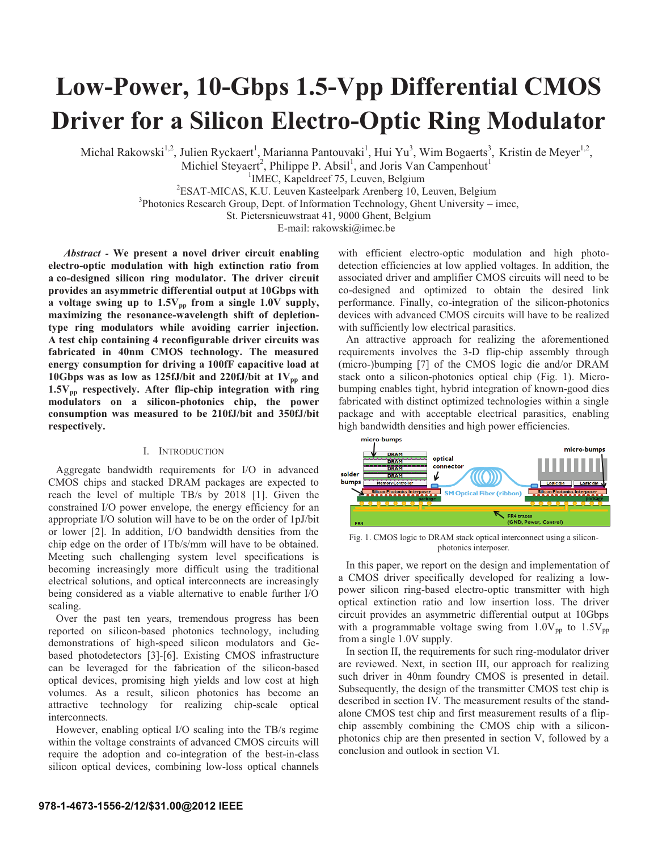# **Low-Power, 10-Gbps 1.5-Vpp Differential CMOS Driver for a Silicon Electro-Optic Ring Modulator**

Michal Rakowski<sup>1,2</sup>, Julien Ryckaert<sup>1</sup>, Marianna Pantouvaki<sup>1</sup>, Hui Yu<sup>3</sup>, Wim Bogaerts<sup>3</sup>, Kristin de Meyer<sup>1,2</sup>,

Michiel Steyaert<sup>2</sup>, Philippe P. Absil<sup>1</sup>, and Joris Van Campenhout<sup>1</sup>

<sup>1</sup>IMEC, Kapeldreef 75, Leuven, Belgium  $\frac{1}{2}$ IMEC, Kapeldreef 75, Leuven, Belgium  $\frac{2}{2}$ ESAT MICAS, K.J. Leuven Kesteelnerk Arenherg 10, L

ESAT-MICAS, K.U. Leuven Kasteelpark Arenberg 10, Leuven, Belgium <sup>3</sup>

 ${}^{3}$ Photonics Research Group, Dept. of Information Technology, Ghent University – imec,

St. Pietersnieuwstraat 41, 9000 Ghent, Belgium

E-mail: rakowski@imec.be

*Abstract -* **We present a novel driver circuit enabling electro-optic modulation with high extinction ratio from a co-designed silicon ring modulator. The driver circuit provides an asymmetric differential output at 10Gbps with**  a voltage swing up to  $1.5V_{pp}$  from a single 1.0V supply, **maximizing the resonance-wavelength shift of depletiontype ring modulators while avoiding carrier injection. A test chip containing 4 reconfigurable driver circuits was fabricated in 40nm CMOS technology. The measured energy consumption for driving a 100fF capacitive load at**  10Gbps was as low as  $125fJ/b$ it and  $220fJ/b$ it at  $1V_{pp}$  and 1.5V<sub>pp</sub> respectively. After flip-chip integration with ring **modulators on a silicon-photonics chip, the power consumption was measured to be 210fJ/bit and 350fJ/bit respectively.** 

# I. INTRODUCTION

Aggregate bandwidth requirements for I/O in advanced CMOS chips and stacked DRAM packages are expected to reach the level of multiple TB/s by 2018 [1]. Given the constrained I/O power envelope, the energy efficiency for an appropriate I/O solution will have to be on the order of 1pJ/bit or lower [2]. In addition, I/O bandwidth densities from the chip edge on the order of 1Tb/s/mm will have to be obtained. Meeting such challenging system level specifications is becoming increasingly more difficult using the traditional electrical solutions, and optical interconnects are increasingly being considered as a viable alternative to enable further I/O scaling.

Over the past ten years, tremendous progress has been reported on silicon-based photonics technology, including demonstrations of high-speed silicon modulators and Gebased photodetectors [3]-[6]. Existing CMOS infrastructure can be leveraged for the fabrication of the silicon-based optical devices, promising high yields and low cost at high volumes. As a result, silicon photonics has become an attractive technology for realizing chip-scale optical interconnects.

However, enabling optical I/O scaling into the TB/s regime within the voltage constraints of advanced CMOS circuits will require the adoption and co-integration of the best-in-class silicon optical devices, combining low-loss optical channels with efficient electro-optic modulation and high photodetection efficiencies at low applied voltages. In addition, the associated driver and amplifier CMOS circuits will need to be co-designed and optimized to obtain the desired link performance. Finally, co-integration of the silicon-photonics devices with advanced CMOS circuits will have to be realized with sufficiently low electrical parasitics.

An attractive approach for realizing the aforementioned requirements involves the 3-D flip-chip assembly through (micro-)bumping [7] of the CMOS logic die and/or DRAM stack onto a silicon-photonics optical chip (Fig. 1). Microbumping enables tight, hybrid integration of known-good dies fabricated with distinct optimized technologies within a single package and with acceptable electrical parasitics, enabling high bandwidth densities and high power efficiencies.



Fig. 1. CMOS logic to DRAM stack optical interconnect using a siliconphotonics interposer.

In this paper, we report on the design and implementation of a CMOS driver specifically developed for realizing a lowpower silicon ring-based electro-optic transmitter with high optical extinction ratio and low insertion loss. The driver circuit provides an asymmetric differential output at 10Gbps with a programmable voltage swing from  $1.0V_{pp}$  to  $1.5V_{pp}$ from a single 1.0V supply.

In section II, the requirements for such ring-modulator driver are reviewed. Next, in section III, our approach for realizing such driver in 40nm foundry CMOS is presented in detail. Subsequently, the design of the transmitter CMOS test chip is described in section IV. The measurement results of the standalone CMOS test chip and first measurement results of a flipchip assembly combining the CMOS chip with a siliconphotonics chip are then presented in section V, followed by a conclusion and outlook in section VI.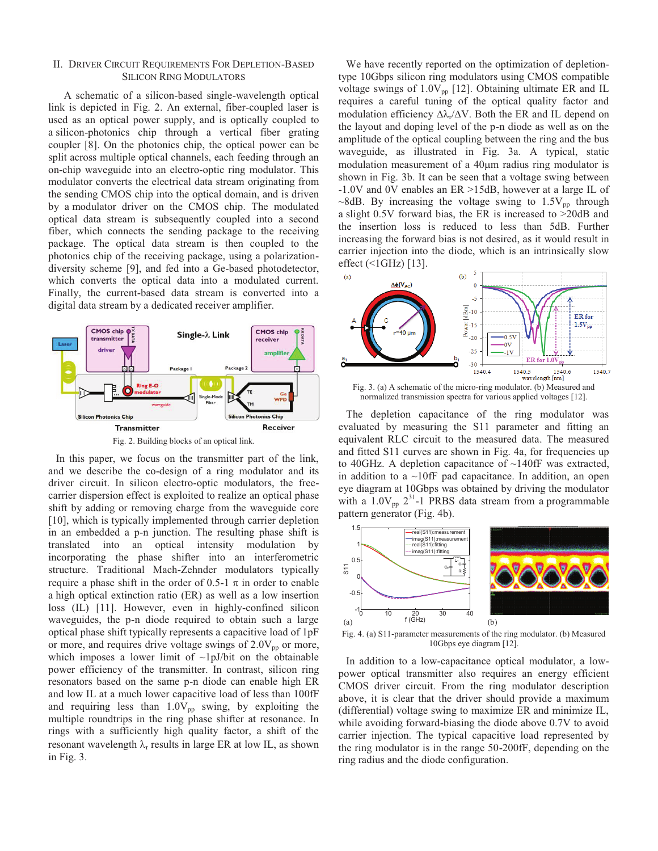## II. DRIVER CIRCUIT REQUIREMENTS FOR DEPLETION-BASED SILICON RING MODULATORS

A schematic of a silicon-based single-wavelength optical link is depicted in Fig. 2. An external, fiber-coupled laser is used as an optical power supply, and is optically coupled to a silicon-photonics chip through a vertical fiber grating coupler [8]. On the photonics chip, the optical power can be split across multiple optical channels, each feeding through an on-chip waveguide into an electro-optic ring modulator. This modulator converts the electrical data stream originating from the sending CMOS chip into the optical domain, and is driven by a modulator driver on the CMOS chip. The modulated optical data stream is subsequently coupled into a second fiber, which connects the sending package to the receiving package. The optical data stream is then coupled to the photonics chip of the receiving package, using a polarizationdiversity scheme [9], and fed into a Ge-based photodetector, which converts the optical data into a modulated current. Finally, the current-based data stream is converted into a digital data stream by a dedicated receiver amplifier.



In this paper, we focus on the transmitter part of the link, and we describe the co-design of a ring modulator and its driver circuit. In silicon electro-optic modulators, the freecarrier dispersion effect is exploited to realize an optical phase shift by adding or removing charge from the waveguide core [10], which is typically implemented through carrier depletion in an embedded a p-n junction. The resulting phase shift is translated into an optical intensity modulation by incorporating the phase shifter into an interferometric structure. Traditional Mach-Zehnder modulators typically require a phase shift in the order of 0.5-1  $\pi$  in order to enable a high optical extinction ratio (ER) as well as a low insertion loss (IL) [11]. However, even in highly-confined silicon waveguides, the p-n diode required to obtain such a large optical phase shift typically represents a capacitive load of 1pF or more, and requires drive voltage swings of  $2.0V_{\text{pn}}$  or more, which imposes a lower limit of  $\sim1$ pJ/bit on the obtainable power efficiency of the transmitter. In contrast, silicon ring resonators based on the same p-n diode can enable high ER and low IL at a much lower capacitive load of less than 100fF and requiring less than  $1.0V_{pp}$  swing, by exploiting the multiple roundtrips in the ring phase shifter at resonance. In rings with a sufficiently high quality factor, a shift of the resonant wavelength  $\lambda_r$  results in large ER at low IL, as shown in Fig. 3.

We have recently reported on the optimization of depletiontype 10Gbps silicon ring modulators using CMOS compatible voltage swings of  $1.0V_{\text{pp}}$  [12]. Obtaining ultimate ER and IL requires a careful tuning of the optical quality factor and modulation efficiency  $\Delta\lambda_r/\Delta V$ . Both the ER and IL depend on the layout and doping level of the p-n diode as well as on the amplitude of the optical coupling between the ring and the bus waveguide, as illustrated in Fig. 3a. A typical, static modulation measurement of a  $40 \mu m$  radius ring modulator is shown in Fig. 3b. It can be seen that a voltage swing between -1.0V and 0V enables an ER >15dB, however at a large IL of ~8dB. By increasing the voltage swing to  $1.5V_{\text{pp}}$  through a slight 0.5V forward bias, the ER is increased to >20dB and the insertion loss is reduced to less than 5dB. Further increasing the forward bias is not desired, as it would result in carrier injection into the diode, which is an intrinsically slow effect (<1GHz) [13].



Fig. 3. (a) A schematic of the micro-ring modulator. (b) Measured and normalized transmission spectra for various applied voltages [12].

The depletion capacitance of the ring modulator was evaluated by measuring the S11 parameter and fitting an equivalent RLC circuit to the measured data. The measured and fitted S11 curves are shown in Fig. 4a, for frequencies up to 40GHz. A depletion capacitance of ~140fF was extracted, in addition to a  $\sim$ 10fF pad capacitance. In addition, an open eye diagram at 10Gbps was obtained by driving the modulator with a  $1.0V_{\text{pp}}$   $2^{31}$ -1 PRBS data stream from a programmable pattern generator (Fig. 4b).



Fig. 4. (a) S11-parameter measurements of the ring modulator. (b) Measured 10Gbps eye diagram [12].

In addition to a low-capacitance optical modulator, a lowpower optical transmitter also requires an energy efficient CMOS driver circuit. From the ring modulator description above, it is clear that the driver should provide a maximum (differential) voltage swing to maximize ER and minimize IL, while avoiding forward-biasing the diode above  $0.7V$  to avoid carrier injection. The typical capacitive load represented by the ring modulator is in the range 50-200fF, depending on the ring radius and the diode configuration.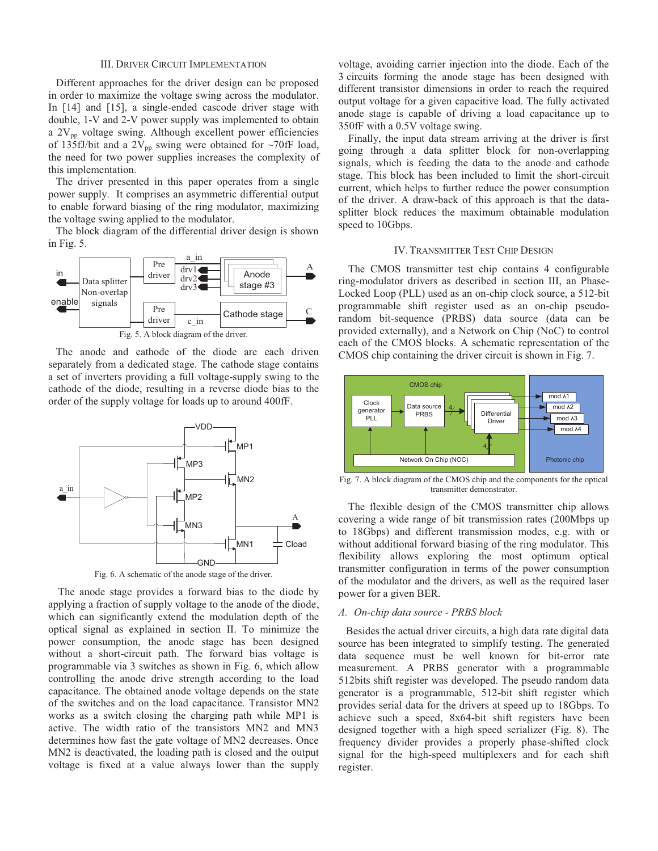## III. DRIVER CIRCUIT IMPLEMENTATION

Different approaches for the driver design can be proposed in order to maximize the voltage swing across the modulator. In [14] and [15], a single-ended cascode driver stage with double, 1-V and 2-V power supply was implemented to obtain a  $2V_{\text{pp}}$  voltage swing. Although excellent power efficiencies of 135fJ/bit and a 2V<sub>pp</sub> swing were obtained for  $\sim$ 70fF load, the need for two power supplies increases the complexity of this implementation.

The driver presented in this paper operates from a single power supply. It comprises an asymmetric differential output to enable forward biasing of the ring modulator, maximizing the voltage swing applied to the modulator.

The block diagram of the differential driver design is shown in Fig. 5.



The anode and cathode of the diode are each driven separately from a dedicated stage. The cathode stage contains a set of inverters providing a full voltage-supply swing to the cathode of the diode, resulting in a reverse diode bias to the order of the supply voltage for loads up to around 400fF.



Fig. 6. A schematic of the anode stage of the driver.

The anode stage provides a forward bias to the diode by applying a fraction of supply voltage to the anode of the diode, which can significantly extend the modulation depth of the optical signal as explained in section II. To minimize the power consumption, the anode stage has been designed without a short-circuit path. The forward bias voltage is programmable via 3 switches as shown in Fig. 6, which allow controlling the anode drive strength according to the load capacitance. The obtained anode voltage depends on the state of the switches and on the load capacitance. Transistor MN2 works as a switch closing the charging path while MP1 is active. The width ratio of the transistors MN2 and MN3 determines how fast the gate voltage of MN2 decreases. Once MN2 is deactivated, the loading path is closed and the output voltage is fixed at a value always lower than the supply

voltage, avoiding carrier injection into the diode. Each of the 3 circuits forming the anode stage has been designed with different transistor dimensions in order to reach the required output voltage for a given capacitive load. The fully activated anode stage is capable of driving a load capacitance up to 350fF with a 0.5V voltage swing.

Finally, the input data stream arriving at the driver is first going through a data splitter block for non-overlapping signals, which is feeding the data to the anode and cathode stage. This block has been included to limit the short-circuit current, which helps to further reduce the power consumption of the driver. A draw-back of this approach is that the datasplitter block reduces the maximum obtainable modulation speed to 10Gbps.

# IV.TRANSMITTER TEST CHIP DESIGN

The CMOS transmitter test chip contains 4 configurable ring-modulator drivers as described in section III, an Phase-Locked Loop (PLL) used as an on-chip clock source, a 512-bit programmable shift register used as an on-chip pseudorandom bit-sequence (PRBS) data source (data can be provided externally), and a Network on Chip (NoC) to control each of the CMOS blocks. A schematic representation of the CMOS chip containing the driver circuit is shown in Fig. 7.



Fig. 7. A block diagram of the CMOS chip and the components for the optical transmitter demonstrator.

The flexible design of the CMOS transmitter chip allows covering a wide range of bit transmission rates (200Mbps up to 18Gbps) and different transmission modes, e.g. with or without additional forward biasing of the ring modulator. This flexibility allows exploring the most optimum optical transmitter configuration in terms of the power consumption of the modulator and the drivers, as well as the required laser power for a given BER.

# *A. On-chip data source - PRBS block*

Besides the actual driver circuits, a high data rate digital data source has been integrated to simplify testing. The generated data sequence must be well known for bit-error rate measurement. A PRBS generator with a programmable 512bits shift register was developed. The pseudo random data generator is a programmable, 512-bit shift register which provides serial data for the drivers at speed up to 18Gbps. To achieve such a speed, 8x64-bit shift registers have been designed together with a high speed serializer (Fig. 8). The frequency divider provides a properly phase-shifted clock signal for the high-speed multiplexers and for each shift register.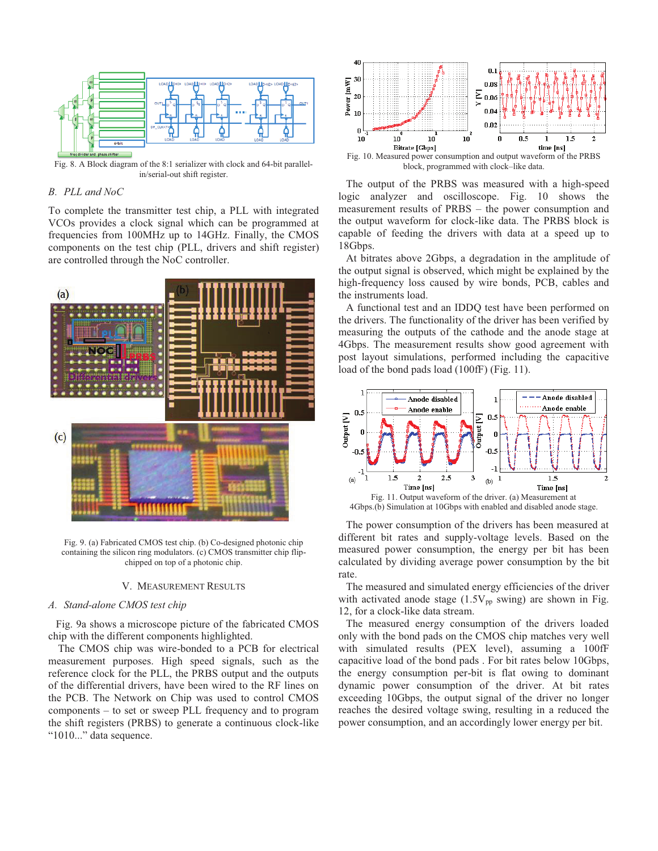

Fig. 8. A Block diagram of the 8:1 serializer with clock and 64-bit parallelin/serial-out shift register.

# *B. PLL and NoC*

To complete the transmitter test chip, a PLL with integrated VCOs provides a clock signal which can be programmed at frequencies from 100MHz up to 14GHz. Finally, the CMOS components on the test chip (PLL, drivers and shift register) are controlled through the NoC controller.



Fig. 9. (a) Fabricated CMOS test chip. (b) Co-designed photonic chip containing the silicon ring modulators. (c) CMOS transmitter chip flipchipped on top of a photonic chip.

#### V. MEASUREMENT RESULTS

## *A. Stand-alone CMOS test chip*

Fig. 9a shows a microscope picture of the fabricated CMOS chip with the different components highlighted.

The CMOS chip was wire-bonded to a PCB for electrical measurement purposes. High speed signals, such as the reference clock for the PLL, the PRBS output and the outputs of the differential drivers, have been wired to the RF lines on the PCB. The Network on Chip was used to control CMOS components – to set or sweep PLL frequency and to program the shift registers (PRBS) to generate a continuous clock-like "1010..." data sequence.



The output of the PRBS was measured with a high-speed logic analyzer and oscilloscope. Fig. 10 shows the measurement results of PRBS – the power consumption and the output waveform for clock-like data. The PRBS block is capable of feeding the drivers with data at a speed up to 18Gbps.

At bitrates above 2Gbps, a degradation in the amplitude of the output signal is observed, which might be explained by the high-frequency loss caused by wire bonds, PCB, cables and the instruments load.

A functional test and an IDDQ test have been performed on the drivers. The functionality of the driver has been verified by measuring the outputs of the cathode and the anode stage at 4Gbps. The measurement results show good agreement with post layout simulations, performed including the capacitive load of the bond pads load (100fF) (Fig. 11).



4Gbps.(b) Simulation at 10Gbps with enabled and disabled anode stage.

The power consumption of the drivers has been measured at different bit rates and supply-voltage levels. Based on the measured power consumption, the energy per bit has been calculated by dividing average power consumption by the bit rate.

The measured and simulated energy efficiencies of the driver with activated anode stage  $(1.5V_{pp}$  swing) are shown in Fig. 12, for a clock-like data stream.

The measured energy consumption of the drivers loaded only with the bond pads on the CMOS chip matches very well with simulated results (PEX level), assuming a 100fF capacitive load of the bond pads . For bit rates below 10Gbps, the energy consumption per-bit is flat owing to dominant dynamic power consumption of the driver. At bit rates exceeding 10Gbps, the output signal of the driver no longer reaches the desired voltage swing, resulting in a reduced the power consumption, and an accordingly lower energy per bit.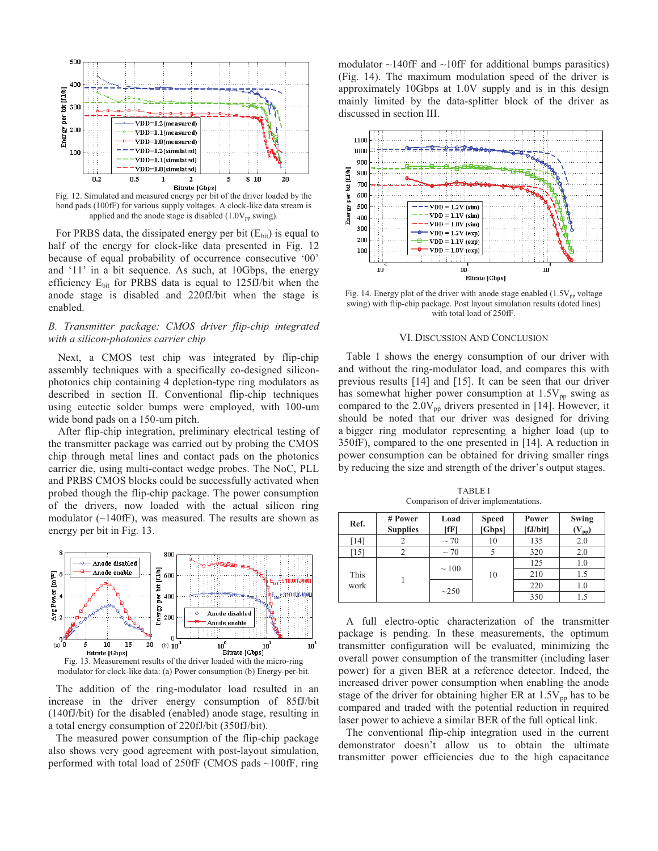

Fig. 12. Simulated and measured energy per bit of the driver loaded by the bond pads (100fF) for various supply voltages. A clock-like data stream is applied and the anode stage is disabled  $(1.0V_{pp}$  swing).

For PRBS data, the dissipated energy per bit  $(E_{\text{bit}})$  is equal to half of the energy for clock-like data presented in Fig. 12 because of equal probability of occurrence consecutive '00' and '11' in a bit sequence. As such, at 10Gbps, the energy efficiency Ebit for PRBS data is equal to 125fJ/bit when the anode stage is disabled and 220fJ/bit when the stage is enabled.

# *B. Transmitter package: CMOS driver flip-chip integrated with a silicon-photonics carrier chip*

Next, a CMOS test chip was integrated by flip-chip assembly techniques with a specifically co-designed siliconphotonics chip containing 4 depletion-type ring modulators as described in section II. Conventional flip-chip techniques using eutectic solder bumps were employed, with 100-um wide bond pads on a 150-um pitch.

After flip-chip integration, preliminary electrical testing of the transmitter package was carried out by probing the CMOS chip through metal lines and contact pads on the photonics carrier die, using multi-contact wedge probes. The NoC, PLL and PRBS CMOS blocks could be successfully activated when probed though the flip-chip package. The power consumption of the drivers, now loaded with the actual silicon ring modulator  $(\sim 140$ fF), was measured. The results are shown as energy per bit in Fig. 13.





The addition of the ring-modulator load resulted in an increase in the driver energy consumption of 85fJ/bit (140fJ/bit) for the disabled (enabled) anode stage, resulting in a total energy consumption of 220fJ/bit (350fJ/bit).

The measured power consumption of the flip-chip package also shows very good agreement with post-layout simulation, performed with total load of 250fF (CMOS pads ~100fF, ring modulator  $\sim$ 140fF and  $\sim$ 10fF for additional bumps parasitics) (Fig. 14). The maximum modulation speed of the driver is approximately 10Gbps at 1.0V supply and is in this design mainly limited by the data-splitter block of the driver as discussed in section III.



Fig. 14. Energy plot of the driver with anode stage enabled  $(1.5V_{pp}$  voltage swing) with flip-chip package. Post layout simulation results (doted lines) with total load of 250fF.

#### VI.DISCUSSION AND CONCLUSION

Table 1 shows the energy consumption of our driver with and without the ring-modulator load, and compares this with previous results [14] and [15]. It can be seen that our driver has somewhat higher power consumption at  $1.5V_{pp}$  swing as compared to the  $2.0V_{pp}$  drivers presented in [14]. However, it should be noted that our driver was designed for driving a bigger ring modulator representing a higher load (up to 350fF), compared to the one presented in [14]. A reduction in power consumption can be obtained for driving smaller rings by reducing the size and strength of the driver's output stages.

TABLE I Comparison of driver implementations.

| Ref.         | # Power<br><b>Supplies</b> | Load<br>$[$ f $F$ $]$ | <b>Speed</b><br>[Gbps] | Power<br>[fJ/bit] | <b>Swing</b><br>$(\rm V_{\rm pp})$ |
|--------------|----------------------------|-----------------------|------------------------|-------------------|------------------------------------|
| [14]         |                            | $\sim$ 70             | 10                     | 135               | 2.0                                |
| [15]         |                            | $\sim$ 70             |                        | 320               | 2.0                                |
| This<br>work |                            | $\sim$ 100            | 10                     | 125               | 1.0                                |
|              |                            |                       |                        | 210               | 1.5                                |
|              |                            | ~250                  |                        | 220               | 1.0                                |
|              |                            |                       |                        | 350               | 1.5                                |

A full electro-optic characterization of the transmitter package is pending. In these measurements, the optimum transmitter configuration will be evaluated, minimizing the overall power consumption of the transmitter (including laser power) for a given BER at a reference detector. Indeed, the increased driver power consumption when enabling the anode stage of the driver for obtaining higher ER at  $1.5V_{\text{pp}}$  has to be compared and traded with the potential reduction in required laser power to achieve a similar BER of the full optical link.

The conventional flip-chip integration used in the current demonstrator doesn't allow us to obtain the ultimate transmitter power efficiencies due to the high capacitance